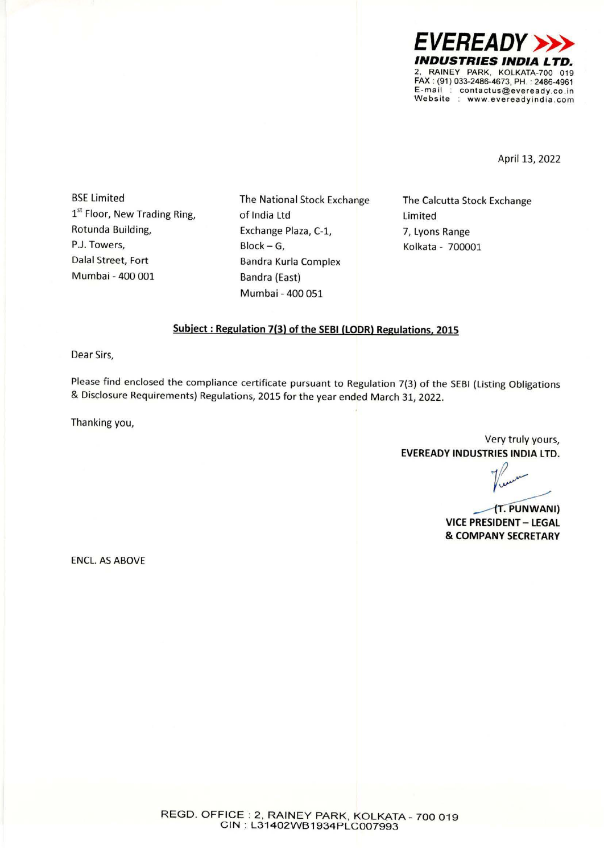

April 13, 2022

BSE Limited 1<sup>st</sup> Floor, New Trading Ring, Rotunda Building, Dalal Street, Fort Mumbai - 400 001

The National Stock Exchange of India Ltd Exchange Plaza, C-1, Block-G, P.J. Towers, Block - G, Research 200001 Bandra Kurla Complex Bandra (East) Mumbai - 400 051

The Calcutta Stock Exchange Limited 7, Lyons Range

## **Subject : Regulation 7(3) of the SEBI (LODR) Regulations. 2015**

Dear Sirs,

Please find enclosed the compliance certificate pursuant to Regulation 7(3) of the SEBI (Listing Obligations & Disclosure Requirements) Regulations, 2015 for the year ended March 31, 2022.

Thanking you,

Very truly yours, **EVEREADY INDUSTRIES INDIA LTD.** 

*y1/* 

. **PUNWANI) VICE PRESIDENT - LEGAL**  & **COMPANY SECRETARY** 

ENCL. AS ABOVE